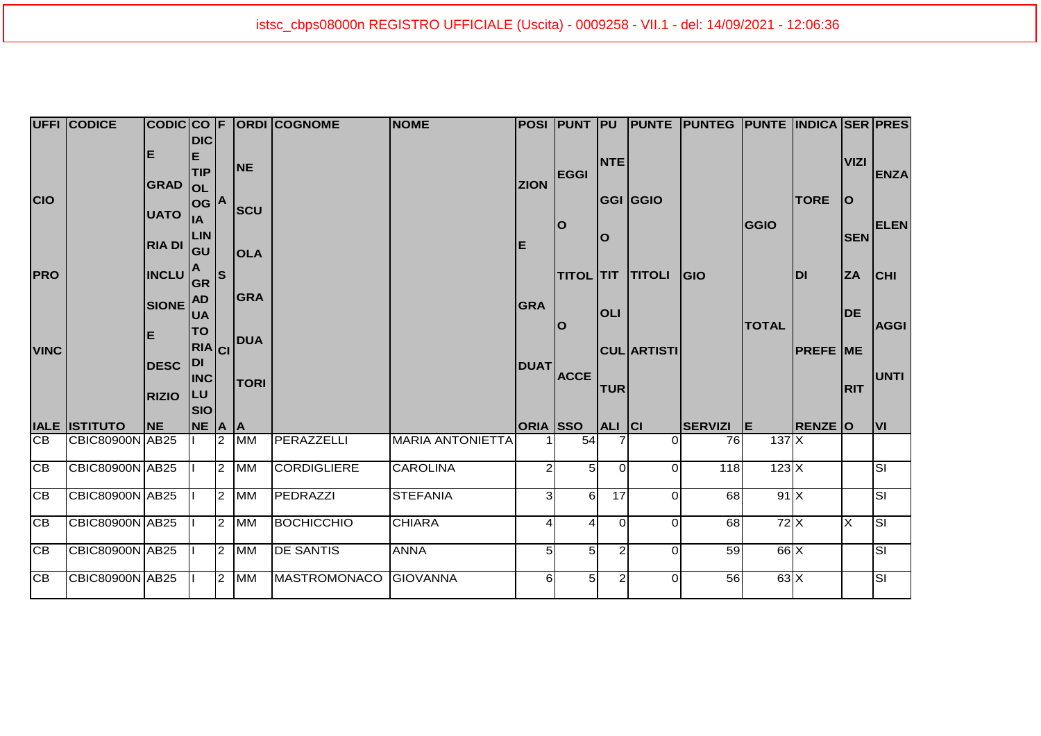|                 | <b>UFFI CODICE</b>     |              |                         |                                |             | CODICCO F ORDI COGNOME | <b>NOME</b>             |                 | POSI PUNT PU     |                 |                 | <b>PUNTE PUNTEG PUNTE INDICA SER PRES</b> |              |                |                 |                         |
|-----------------|------------------------|--------------|-------------------------|--------------------------------|-------------|------------------------|-------------------------|-----------------|------------------|-----------------|-----------------|-------------------------------------------|--------------|----------------|-----------------|-------------------------|
|                 |                        | Е            | <b>DIC</b><br>E         |                                |             |                        |                         |                 |                  |                 |                 |                                           |              |                |                 |                         |
|                 |                        |              | <b>TIP</b>              |                                | NE          |                        |                         |                 | <b>EGGI</b>      | <b>NTE</b>      |                 |                                           |              |                | <b>VIZI</b>     | <b>ENZA</b>             |
|                 |                        | <b>GRAD</b>  | <b>OL</b>               |                                |             |                        |                         | <b>ZION</b>     |                  |                 |                 |                                           |              |                |                 |                         |
| <b>CIO</b>      |                        |              | log A                   |                                |             |                        |                         |                 |                  |                 | <b>GGI GGIO</b> |                                           |              | <b>TORE</b>    | lo              |                         |
|                 |                        | <b>UATO</b>  | lıA                     |                                | <b>SCU</b>  |                        |                         |                 | lO               |                 |                 |                                           | <b>GGIO</b>  |                |                 | <b>ELEN</b>             |
|                 |                        |              | <b>LIN</b>              |                                |             |                        |                         |                 |                  | lO              |                 |                                           |              |                | <b>SEN</b>      |                         |
|                 |                        | RIA DI       | lgu                     |                                | <b>OLA</b>  |                        |                         | E               |                  |                 |                 |                                           |              |                |                 |                         |
| <b>PRO</b>      |                        | <b>INCLU</b> |                         | s                              |             |                        |                         |                 | <b>TITOL TIT</b> |                 | <b>TITOLI</b>   | <b>IGIO</b>                               |              | <b>IDI</b>     | <b>ZA</b>       | <b>CHI</b>              |
|                 |                        |              | <b>GR</b>               |                                |             |                        |                         |                 |                  |                 |                 |                                           |              |                |                 |                         |
|                 |                        | SIONE AD     |                         |                                | <b>GRA</b>  |                        |                         | <b>GRA</b>      | lO               | <b>OLI</b>      |                 |                                           | <b>TOTAL</b> |                |                 |                         |
| <b>VINC</b>     |                        |              | <b>UA</b>               | <b>TO</b><br>RIA <sub>CI</sub> | <b>DUA</b>  |                        |                         |                 |                  |                 |                 |                                           |              |                | <b>DE</b>       | <b>AGGI</b>             |
|                 |                        | Е            |                         |                                |             |                        |                         |                 |                  |                 |                 |                                           |              |                |                 |                         |
|                 |                        |              |                         |                                |             |                        |                         |                 |                  |                 |                 | <b>CUL ARTISTI</b>                        |              |                | <b>PREFE ME</b> |                         |
|                 |                        | <b>DESC</b>  | <b>DI</b><br><b>INC</b> |                                |             |                        |                         | <b>DUAT</b>     | <b>ACCE</b>      |                 |                 |                                           |              |                |                 | <b>UNTI</b>             |
|                 |                        |              | <b>ILU</b>              |                                | <b>TORI</b> |                        |                         |                 |                  | <b>TUR</b>      |                 |                                           |              |                | <b>RIT</b>      |                         |
|                 |                        | <b>RIZIO</b> | Isio                    |                                |             |                        |                         |                 |                  |                 |                 |                                           |              |                |                 |                         |
|                 | <b>IALE ISTITUTO</b>   | <b>NE</b>    | NE A A                  |                                |             |                        |                         | <b>ORIA</b> SSO |                  | ALI  CI         |                 | SERVIZI E                                 |              | <b>RENZE O</b> |                 | lvı                     |
| ICB.            | <b>CBIC80900N AB25</b> |              |                         | $\overline{2}$                 | <b>MM</b>   | PERAZZELLI             | <b>MARIA ANTONIETTA</b> |                 | 54               |                 | $\Omega$        | 76                                        | 137X         |                |                 |                         |
|                 |                        |              |                         |                                |             |                        |                         |                 |                  |                 |                 |                                           |              |                |                 |                         |
| <b>CB</b>       | CBIC80900N AB25        |              |                         |                                | $2$ MM      | <b>CORDIGLIERE</b>     | <b>CAROLINA</b>         | 2               | 5 <sub>l</sub>   | $\Omega$        | $\Omega$        | 118                                       | 123X         |                |                 | ā                       |
| <b>CB</b>       | <b>CBIC80900N AB25</b> |              |                         | $\overline{2}$                 | <b>MM</b>   | PEDRAZZI               | <b>STEFANIA</b>         | 31              | $6 \mid$         | $\overline{17}$ | $\Omega$        | 68                                        | 91X          |                |                 | $\overline{\mathsf{S}}$ |
|                 |                        |              |                         |                                |             |                        |                         |                 |                  |                 |                 |                                           |              |                |                 |                         |
| $\overline{CB}$ | <b>CBIC80900N AB25</b> |              |                         | $\overline{2}$                 | <b>MM</b>   | <b>BOCHICCHIO</b>      | <b>CHIARA</b>           | 4               | 4                | $\Omega$        | $\Omega$        | 68                                        | 72X          |                | X               | <u>sı</u>               |
|                 |                        |              |                         |                                |             |                        |                         |                 |                  |                 |                 |                                           |              |                |                 |                         |
|                 |                        |              |                         |                                |             |                        |                         |                 |                  |                 |                 |                                           |              |                |                 |                         |
| IСB             | CBIC80900N AB25        |              |                         |                                | 2 MM        | <b>DE SANTIS</b>       | <b>ANNA</b>             | 5 <sup>1</sup>  | 5 <sub>l</sub>   | $\overline{2}$  | $\Omega$        | 59                                        | $66 \times$  |                |                 | $\overline{\mathbf{s}}$ |